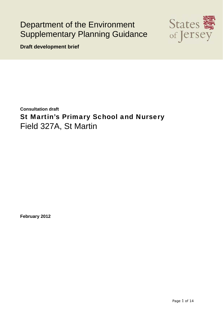# Department of the Environment Supplementary Planning Guidance



**Draft development brief** 

**Consultation draft** St Martin's Primary School and Nursery Field 327A, St Martin

**February 2012**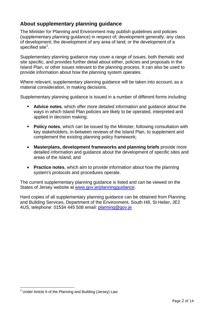# **About supplementary planning guidance**

The Minister for Planning and Environment may publish guidelines and policies (supplementary planning guidance) in respect of; development generally; any class of development; the development of any area of land; or the development of a specified site $<sup>1</sup>$  $<sup>1</sup>$  $<sup>1</sup>$ .</sup>

Supplementary planning guidance may cover a range of issues, both thematic and site specific, and provides further detail about either, policies and proposals in the Island Plan, or other issues relevant to the planning process. It can also be used to provide information about how the planning system operates.

Where relevant, supplementary planning guidance will be taken into account, as a material consideration, in making decisions.

Supplementary planning guidance is issued in a number of different forms including:

- **Advice notes**, which offer more detailed information and guidance about the ways in which Island Plan policies are likely to be operated, interpreted and applied in decision making;
- **Policy notes**, which can be issued by the Minister, following consultation with key stakeholders, in-between reviews of the Island Plan, to supplement and complement the existing planning policy framework;
- **Masterplans, development frameworks and planning briefs** provide more detailed information and guidance about the development of specific sites and areas of the Island; and
- **Practice notes**, which aim to provide information about how the planning system's protocols and procedures operate.

The current supplementary planning guidance is listed and can be viewed on the States of Jersey website at www.gov.je/planningguidance.

Hard copies of all supplementary planning guidance can be obtained from Planning and Building Services, Department of the Environment, South Hill, St Helier, JE2 4US, telephone: 01534 445 508 email: [planning@gov.je](mailto:planning@gov.je) 

<span id="page-1-0"></span><sup>&</sup>lt;u>.</u>  $1$  Under Article 6 of the Planning and Building (Jersey) Law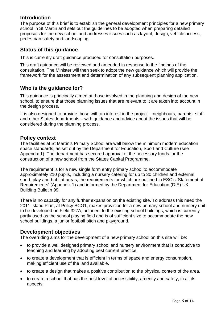# **Introduction**

The purpose of this brief is to establish the general development principles for a new primary school in St Martin and sets out the guidelines to be adopted when preparing detailed proposals for the new school and addresses issues such as layout, design, vehicle access, pedestrian safety and landscaping.

# **Status of this guidance**

This is currently draft guidance produced for consultation purposes.

This draft guidance will be reviewed and amended in response to the findings of the consultation. The Minister will then seek to adopt the new guidance which will provide the framework for the assessment and determination of any subsequent planning application.

# **Who is the guidance for?**

This guidance is principally aimed at those involved in the planning and design of the new school, to ensure that those planning issues that are relevant to it are taken into account in the design process.

It is also designed to provide those with an interest in the project – neighbours, parents, staff and other States departments – with guidance and advice about the issues that will be considered during the planning process.

# **Policy context**

The facilities at St Martin's Primary School are well below the minimum modern education space standards, as set out by the Department for Education, Sport and Culture (see Appendix 1). The department has secured approval of the necessary funds for the construction of a new school from the States Capital Programme.

The requirement is for a new single form entry primary school to accommodate approximately 210 pupils, including a nursery catering for up to 30 children and external sport, play and habitat areas, the requirements for which are outlined in ESC's 'Statement of Requirements' (Appendix 1) and informed by the Department for Education (DfE) UK Building Bulletin 99.

There is no capacity for any further expansion on the existing site. To address this need the 2011 Island Plan, at Policy SCO1, makes provision for a new primary school and nursery unit to be developed on Field 327A, adjacent to the existing school buildings, which is currently partly used as the school playing field and is of sufficient size to accommodate the new school buildings, a junior football pitch and playground.

# **Development objectives**

The overriding aims for the development of a new primary school on this site will be:

- to provide a well designed primary school and nursery environment that is conducive to teaching and learning by adopting best current practice.
- to create a development that is efficient in terms of space and energy consumption, making efficient use of the land available.
- to create a design that makes a positive contribution to the physical context of the area.
- to create a school that has the best level of accessibility, amenity and safety, in all its aspects.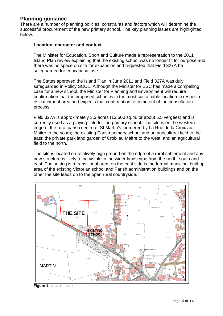# **Planning guidance**

There are a number of planning policies, constraints and factors which will determine the successful procurement of the new primary school. The key planning issues are highlighted below.

## **Location, character and context**

The Minister for Education, Sport and Culture made a representation to the 2011 Island Plan review explaining that the existing school was no longer fit for purpose and there was no space on site for expansion and requested that Field 327A be safeguarded for educational use.

The States approved the Island Plan in June 2011 and Field 327A was duly safeguarded in Policy SCO1. Although the Minister for ESC has made a compelling case for a new school, the Minister for Planning and Environment will require confirmation that the proposed school is in the most sustainable location in respect of its catchment area and expects that confirmation to come out of the consultation process.

Field 327A is approximately 3.3 acres (13,600 sq.m. or about 5.5 vergées) and is currently used as a playing field for the primary school. The site is on the western edge of the rural parish centre of St Martin's, bordered by La Rue de la Croix au Maitre to the south; the existing Parish primary school and an agricultural field to the east; the private park land garden of Croix au Maitre to the west, and an agricultural field to the north.

The site is located on relatively high ground on the edge of a rural settlement and any new structure is likely to be visible in the wider landscape from the north, south and east. The setting is a transitional area; on the east side is the formal municipal built-up area of the existing Victorian school and Parish administration buildings and on the other the site leads on to the open rural countryside.



**Figure 1**. Location plan.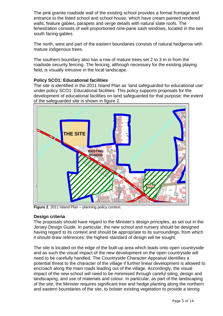The pink granite roadside wall of the existing school provides a formal frontage and entrance to the listed school and school house, which have cream painted rendered walls, feature gables, parapets and verge details with natural slate roofs. The fenestration consists of well proportioned nine-pane sash windows, located in the two south facing gables.

The north, west and part of the eastern boundaries consists of natural hedgerow with mature indigenous trees.

The southern boundary also has a row of mature trees set 2 to 3 m in from the roadside security fencing. The fencing, although necessary for the existing playing field, is visually intrusive in the local landscape.

# **Policy SCO1: Educational facilities**

The site is identified in the 2011 Island Plan as 'land safeguarded for educational use' under policy SCO1: Educational facilities. This policy supports proposals for the development of educational facilities on land safeguarded for that purpose: the extent of the safeguarded site is shown in figure 2.



Figure 2. 2011 Island Plan – planning policy context.

# **Design criteria**

The proposals should have regard to the Minister's design principles, as set out in the Jersey Design Guide. In particular, the new school and nursery should be designed having regard to its context and should be appropriate to its surroundings, from which it should draw references: the highest standard of design will be sought.

The site is located on the edge of the built-up area which leads onto open countryside and as such the visual impact of the new development on the open countryside will need to be carefully handled. The Countryside Character Appraisal identifies a potential threat to the character of the village if further linear development is allowed to encroach along the main roads leading out of the village. Accordingly, the visual impact of the new school will need to be minimised through careful siting, design and landscaping, and use of materials and colour. In particular, as part of the landscaping of the site, the Minister requires significant tree and hedge planting along the northern and eastern boundaries of the site, to bolster existing vegetation to provide a strong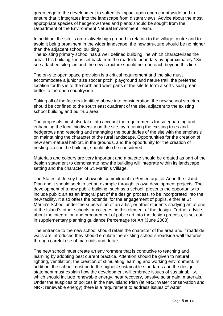green edge to the development to soften its impact upon open countryside and to ensure that it integrates into the landscape from distant views. Advice about the most appropriate species of hedgerow trees and plants should be sought from the Department of the Environment Natural Environment Team.

In addition, the site is on relatively high ground in relation to the village centre and to avoid it being prominent in the wider landscape, the new structure should be no higher than the adjacent school building.

The existing primary school has a well defined building line which characterises the area. This building line is set back from the roadside boundary by approximately 18m; see attached site plan and the new structure should not encroach beyond this line.

The on-site open space provision is a critical requirement and the site must accommodate a junior size soccer pitch, playground and nature trail; the preferred location for this is to the north and west parts of the site to form a soft visual green buffer to the open countryside.

Taking all of the factors identified above into consideration, the new school structure should be confined to the south east quadrant of the site, adjacent to the existing school building and built-up area.

The proposals must also take into account the requirements for safeguarding and enhancing the local biodiversity on the site, by retaining the existing trees and hedgerows and restoring and managing the boundaries of the site with the emphasis on maintaining the character of the rural landscape. Opportunities for the creation of new semi-natural habitat, in the grounds, and the opportunity for the creation of nesting sites in the building, should also be considered.

Materials and colours are very important and a palette should be created as part of the design statement to demonstrate how the building will integrate within its landscape setting and the character of St. Martin's Village.

The States of Jersey has shown its commitment to Percentage for Art in the Island Plan and it should seek to set an example through its own development projects. The development of a new public building, such as a school, presents the opportunity to include public art as an integral part of the design process, to be incorporated into the new facility. It also offers the potential for the engagement of pupils, either at St Martin's School under the supervision of an artist, or other students studying art at one of the Island's other schools or colleges, in this element of the design. Further advice, about the integration and procurement of public art into the design process, is set out in supplementary planning guidance Percentage for Art (June 2008)

The entrance to the new school should retain the character of the area and if roadside walls are introduced they should emulate the existing school's roadside wall features through careful use of materials and details.

The new school must create an environment that is conducive to teaching and learning by adopting best current practice. Attention should be given to natural lighting, ventilation, the creation of stimulating learning and working environment. In addition, the school must be to the highest sustainable standards and the design statement must explain how the development will embrace issues of sustainability, which should include renewable energy, heat recovery, passive solar gain, materials. Under the auspices of polices in the new Island Plan (at NR2: Water conservation and NR7: renewable energy) there is a requirement to address issues of water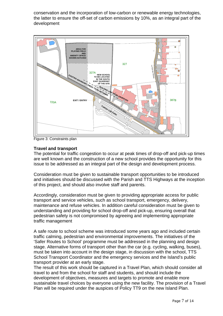conservation and the incorporation of low-carbon or renewable energy technologies, the latter to ensure the off-set of carbon emissions by 10%, as an integral part of the development



Figure 3: Constraints plan

## **Travel and transport**

The potential for traffic congestion to occur at peak times of drop-off and pick-up times are well known and the construction of a new school provides the opportunity for this issue to be addressed as an integral part of the design and development process.

Consideration must be given to sustainable transport opportunities to be introduced and initiatives should be discussed with the Parish and TTS Highways at the inception of this project, and should also involve staff and parents.

Accordingly, consideration must be given to providing appropriate access for public transport and service vehicles, such as school transport, emergency, delivery, maintenance and refuse vehicles. In addition careful consideration must be given to understanding and providing for school drop-off and pick-up, ensuring overall that pedestrian safety is not compromised by agreeing and implementing appropriate traffic management

A safe route to school scheme was introduced some years ago and included certain traffic calming, pedestrian and environmental improvements. The initiatives of the 'Safer Routes to School' programme must be addressed in the planning and design stage. Alternative forms of transport other than the car (e.g. cycling, walking, buses), must be taken into account in the design stage, in discussion with the school, TTS School Transport Coordinator and the emergency services and the Island's public transport provider at an early stage.

The result of this work should be captured in a Travel Plan, which should consider all travel to and from the school for staff and students, and should include the development of objectives, measures and targets to promote and enable more sustainable travel choices by everyone using the new facility. The provision of a Travel Plan will be required under the auspices of Policy TT9 on the new Island Plan.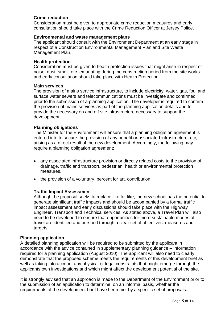# **Crime reduction**

Consideration must be given to appropriate crime reduction measures and early consultation should take place with the Crime Reduction Officer at Jersey Police.

## **Environmental and waste management plans**

The applicant should consult with the Environment Department at an early stage in respect of a Construction Environmental Management Plan and Site Waste Management Plan.

## **Health protection**

Consideration must be given to health protection issues that might arise in respect of noise, dust, smell, etc. emanating during the construction period from the site works and early consultation should take place with Health Protection.

#### **Main services**

The provision of mains service infrastructure, to include electricity, water, gas, foul and surface water sewers and telecommunications must be investigate and confirmed prior to the submission of a planning application. The developer is required to confirm the provision of mains services as part of the planning application details and to provide the necessary on and off site infrastructure necessary to support the development.

## **Planning obligations**

The Minister for the Environment will ensure that a planning obligation agreement is entered into to secure the provision of any benefit or associated infrastructure, etc, arising as a direct result of the new development. Accordingly, the following may require a planning obligation agreement:

- any associated infrastructure provision or directly related costs to the provision of drainage, traffic and transport, pedestrian, health or environmental protection measures.
- the provision of a voluntary, percent for art, contribution.

# **Traffic Impact Assessment**

Although the proposal seeks to replace like for like, the new school has the potential to generate significant traffic impacts and should be accompanied by a formal traffic impact assessment and early discussions should take place with the Highway Engineer, Transport and Technical services. As stated above, a Travel Plan will also need to be developed to ensure that opportunities for more sustainable modes of travel are identified and pursued through a clear set of objectives, measures and targets.

#### **Planning application**

A detailed planning application will be required to be submitted by the applicant in accordance with the advice contained in supplementary planning guidance – Information required for a planning application (August 2010). The applicant will also need to clearly demonstrate that the proposed scheme meets the requirements of this development brief as well as taking into account any physical or legal constraints that might emerge through the applicants own investigations and which might affect the development potential of the site.

It is strongly advised that an approach is made to the Department of the Environment prior to the submission of an application to determine, on an informal basis, whether the requirements of the development brief have been met by a specific set of proposals.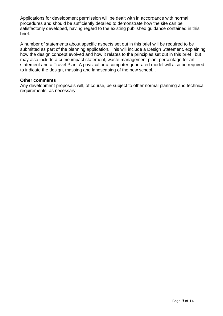Applications for development permission will be dealt with in accordance with normal procedures and should be sufficiently detailed to demonstrate how the site can be satisfactorily developed, having regard to the existing published guidance contained in this brief.

A number of statements about specific aspects set out in this brief will be required to be submitted as part of the planning application. This will include a Design Statement, explaining how the design concept evolved and how it relates to the principles set out in this brief , but may also include a crime impact statement, waste management plan, percentage for art statement and a Travel Plan. A physical or a computer generated model will also be required to indicate the design, massing and landscaping of the new school. .

#### **Other comments**

Any development proposals will, of course, be subject to other normal planning and technical requirements, as necessary.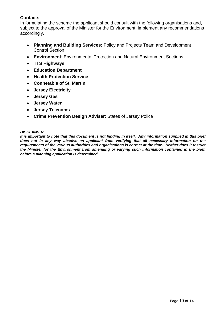# **Contacts**

In formulating the scheme the applicant should consult with the following organisations and, subject to the approval of the Minister for the Environment, implement any recommendations accordingly.

- **Planning and Building Services:** Policy and Projects Team and Development Control Section
- **Environment**: Environmental Protection and Natural Environment Sections
- **TTS Highways**
- **Education Department**
- **Health Protection Service**
- **Connetable of St. Martin**
- **Jersey Electricity**
- **Jersey Gas**
- **Jersey Water**
- **Jersey Telecoms**
- **Crime Prevention Design Adviser**: States of Jersey Police

#### *DISCLAIMER*

*It is important to note that this document is not binding in itself. Any information supplied in this brief does not in any way absolve an applicant from verifying that all necessary information on the requirements of the various authorities and organisations is correct at the time. Neither does it restrict the Minister for the Environment from amending or varying such information contained in the brief, before a planning application is determined.*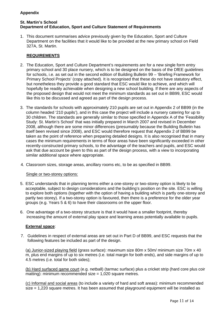# **Appendix**

#### **St. Martin's School Department of Education, Sport and Culture Statement of Requirements**

1. This document summarises advice previously given by the Education, Sport and Culture Department on the facilities that it would like to be provided at the new primary school on Field 327A, St. Martin.

## **REQUIREMENTS**

- 2. The Education, Sport and Culture Department's requirements are for a new single form entry primary school and 30 place nursery, which is to be designed on the basis of the DfEE guidelines for schools, i.e. as set out in the second edition of Building Bulletin 99 – 'Briefing Framework for Primary School Projects' (copy attached). It is recognised that these do not have statutory effect, but nonetheless they provide a good standard that ESC would like to achieve, and which will hopefully be readily achievable when designing a new school building. If there are any aspects of the proposed design that would not meet the minimum standards as set out in BB99, ESC would like this to be discussed and agreed as part of the design process.
- 3. The standards for schools with approximately 210 pupils are set out in Appendix 2 of BB99 (in the column headed '210 pupils'), and in this case the project will include a nursery catering for up to 30 children. The standards are generally similar to those specified in Appendix A of the 'Feasibility Study: St. Martin's School' that was initially prepared in March 2007 and revised in December 2008, although there are some minor differences (presumably because the Building Bulletin has itself been revised since 2008), and ESC would therefore request that Appendix 2 of BB99 be taken as the point of reference when preparing detailed designs. It is also recognised that in many cases the minimum requirements in terms of floor areas have been significantly exceeded in other recently-constructed primary schools, to the advantage of the teachers and pupils, and ESC would ask that due account be given to this as part of the design process, with a view to incorporating similar additional space where appropriate.
- 4. Classroom sizes, storage areas, ancillary rooms etc, to be as specified in BB99.

#### Single or two-storey options:

- 5. ESC understands that in planning terms either a one-storey or two-storey option is likely to be acceptable, subject to design considerations and the building's position on the site. ESC is willing to explore both options (together with the option of having a building which is partly one-storey and partly two storey). If a two-storey option is favoured, then there is a preference for the older year groups (e.g. Years 5 & 6) to have their classrooms on the upper floor.
- 6. One advantage of a two-storey structure is that it would have a smaller footprint, thereby increasing the amount of external play space and learning areas potentially available to pupils.

#### **External space**:

7. Guidelines in respect of external areas are set out in Part D of BB99, and ESC requests that the following features be included as part of the design.

(a) Junior-sized playing field (grass surface): maximum size 80m x 50m/ minimum size 70m x 40 m, plus end margins of up to six metres (i.e. total margin for both ends), and side margins of up to 4.5 metres (i.e. total for both sides);

(b) Hard surfaced game court (e.g. netball) (tarmac surface) plus a cricket strip (hard core plus coir matting): minimum recommended size  $= 1.020$  square metres.

(c) Informal and social areas (to include a variety of hard and soft areas): minimum recommended size = 1,220 square metres. It has been assumed that playground equipment will be installed as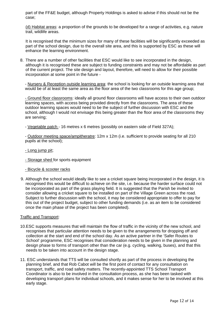part of the FF&E budget, although Property Holdings is asked to advise if this should not be the case;

(d) Habitat areas: a proportion of the grounds to be developed for a range of activities, e.g. nature trail, wildlife areas.

It is recognised that the minimum sizes for many of these facilities will be significantly exceeded as part of the school design, due to the overall site area, and this is supported by ESC as these will enhance the learning environment.

8. There are a number of other facilities that ESC would like to see incorporated in the design, although it is recognised these are subject to funding constraints and may not be affordable as part of the current project. The site design and layout, therefore, will need to allow for their possible incorporation at some point in the future -

- Nursery & Reception outside learning area: the school is looking for an outside learning area that would be of at least the same area as the floor area of the two classrooms for this age group;

- Ground floor classrooms: ideally all ground floor classrooms will have access to their own outdoor learning spaces, with access being provided directly from the classrooms. The area of these outdoor learning spaces would need to be the subject of further discussion with ESC and the school, although I would not envisage this being greater than the floor area of the classrooms they are serving;

- Vegetable patch - 16 metres x 6 metres (possibly on eastern side of Field 327A);

- Outdoor meeting space/ampitheratre: 12m x 12m (i.e. sufficient to provide seating for all 210 pupils at the school);

- Long jump pit;
- Storage shed for sports equipment
- Bicycle & scooter racks
- 9. Although the school would ideally like to see a cricket square being incorporated in the design, it is recognised this would be difficult to achieve on the site, i.e. because the harder surface could not be incorporated as part of the grass playing field. It is suggested that the Parish be invited to consider allowing a cricket square to be installed on part of the Village Green across the road. Subject to further discussion with the school, it may be considered appropriate to offer to pay for this out of the project budget, subject to other funding demands (i.e. as an item to be considered once the main phase of the project has been completed).

#### Traffic and Transport:

- 10.ESC supports measures that will maintain the flow of traffic in the vicinity of the new school, and recognises that particular attention needs to be given to the arrangements for dropping off and collection at the start and end of the school day. As an active partner in the 'Safer Routes to School' programme, ESC recognises that consideration needs to be given in the planning and design phase to forms of transport other than the car (e.g. cycling, walking, buses), and that this needs to be taken into account in the design stage.
- 11. ESC understands that TTS will be consulted shortly as part of the process in developing the planning brief, and that Rob Cabot will be the first point of contact for any consultation on transport, traffic, and road safety matters. The recently-appointed TTS School Transport Coordinator is also to be involved in the consultation process, as she has been tasked with developing transport plans for individual schools, and it makes sense for her to be involved at this early stage.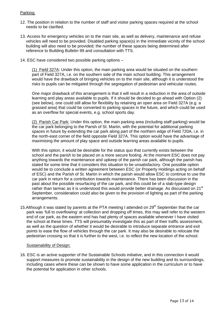## Parking:

- 12. The position in relation to the number of staff and visitor parking spaces required at the school needs to be clarified.
- 13. Access for emergency vehicles on to the main site, as well as delivery, maintenance and refuse vehicles will need to be provided. Disabled parking space(s) in the immediate vicinity of the school building will also need to be provided; the number of these spaces being determined after reference to Building Bulletin 99 and consultation with TTS.
- 14. ESC have considered two possible parking options –

(1) Field 327A: Under this option, the main parking area would be situated on the southern part of Field 327A, i.e. on the southern side of the main school building. This arrangement would have the drawback of bringing vehicles on to the main site, although it is understood the risks to pupils can be mitigated through the segregation of pedestrian and vehicular routes.

One major drawback of this arrangement is that it will result in a reduction in the area of outside learning and play areas available to pupils. If it should be decided to go ahead with Option (2) (see below), one could still allow for flexibility by retaining an open area on Field 327A (e.g. a grassed area) that could be converted to parking spaces in the future, and which could be used as an overflow for special events, e.g. school sports day.

(2) Parish Car Park: Under this option, the main parking area (including staff parking) would be the car park belonging to the Parish of St. Martin, with the potential for additional parking spaces in future by extending the car park along part of the northern edge of Field 720A, i.e. in the north-east corner of the field opposite Field 327A. This option would have the advantage of maximising the amount of play space and outside learning areas available to pupils.

With this option, it would be desirable for the status quo that currently exists between the school and the parish to be placed on a more secure footing. At the moment ESC does not pay anything towards the maintenance and upkeep of the parish car park, although the parish has stated for some time that it considers this situation to be unsatisfactory. One possible option would be to conclude a written agreement between ESC (or Property Holdings acting on behalf of ESC) and the Parish of St. Martin in which the parish would allow ESC to continue to use the car park in return for a contribution towards maintenance. There has been discussion in the past about the possible resurfacing of the car park, and this could be of a slab-type design rather than tarmac as it is understood this would provide better drainage. As discussed on 21<sup>st</sup> September, consideration could also be given to the provision of lighting as part of the parking arrangements.

15. Although it was stated by parents at the PTA meeting I attended on 29<sup>th</sup> September that the car park was 'full to overflowing' at collection and dropping off times, this may well refer to the western end of car park, as the eastern end has had plenty of spaces available whenever I have visited the school at these times. TTS will presumably investigate this as part of their traffic assessment, as well as the question of whether it would be desirable to introduce separate entrance and exit points to ease the flow of vehicles through the car park. It may also be desirable to relocate the pedestrian crossing so that it is further to the west, i.e. to reflect the new location of the school.

#### Sustainability of Design:

16. ESC is an active supporter of the Sustainable Schools initiative, and in this connection it would support measures to promote sustainability in the design of the new building and its surroundings, including cases where these can be shown to have some application in the curriculum or to have the potential for application in other schools.